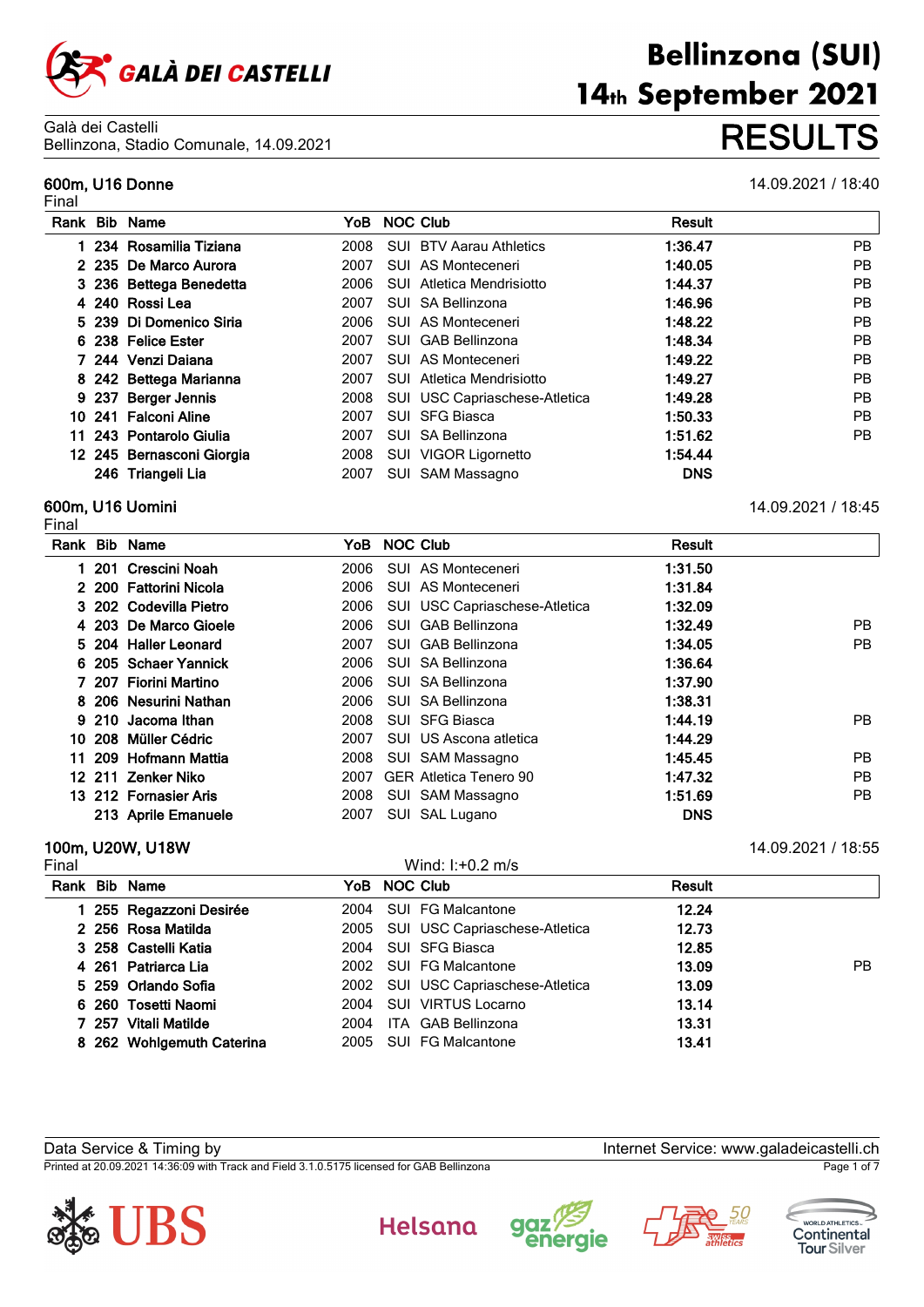

Final

|  | Rank Bib Name             | YoB NOC Club |                                    | <b>Result</b> |     |
|--|---------------------------|--------------|------------------------------------|---------------|-----|
|  | 1 234 Rosamilia Tiziana   |              | 2008 SUI BTV Aarau Athletics       | 1:36.47       | PB. |
|  | 2 235 De Marco Aurora     | 2007         | SUI AS Monteceneri                 | 1:40.05       | PB. |
|  | 3 236 Bettega Benedetta   | 2006         | SUI Atletica Mendrisiotto          | 1:44.37       | PB. |
|  | 4 240 Rossi Lea           | 2007         | SUI SA Bellinzona                  | 1:46.96       | PB. |
|  | 5 239 Di Domenico Siria   |              | 2006 SUI AS Monteceneri            | 1:48.22       | PB  |
|  | 6 238 Felice Ester        | 2007         | SUI GAB Bellinzona                 | 1:48.34       | PB. |
|  | 7 244 Venzi Daiana        | 2007         | SUI AS Monteceneri                 | 1:49.22       | PB. |
|  | 8 242 Bettega Marianna    | 2007         | SUI Atletica Mendrisiotto          | 1:49.27       | PB  |
|  | 9 237 Berger Jennis       |              | 2008 SUI USC Capriaschese-Atletica | 1:49.28       | PB. |
|  | 10 241 Falconi Aline      | 2007         | SUI SFG Biasca                     | 1:50.33       | PB. |
|  | 11 243 Pontarolo Giulia   | 2007         | SUI SA Bellinzona                  | 1:51.62       | PB. |
|  | 12 245 Bernasconi Giorgia |              | 2008 SUI VIGOR Ligornetto          | 1:54.44       |     |
|  | 246 Triangeli Lia         | 2007         | SUI SAM Massagno                   | <b>DNS</b>    |     |

# **600m, U16 Uomini** 14.09.2021 / 18:45

Final

| Rank | <b>Bib Name</b>        | YoB  |     | <b>NOC Club</b>               | <b>Result</b> |           |
|------|------------------------|------|-----|-------------------------------|---------------|-----------|
|      | 201 Crescini Noah      | 2006 |     | SUI AS Monteceneri            | 1:31.50       |           |
|      | 2 200 Fattorini Nicola | 2006 |     | SUI AS Monteceneri            | 1:31.84       |           |
|      | 3 202 Codevilla Pietro | 2006 |     | SUI USC Capriaschese-Atletica | 1:32.09       |           |
|      | 4 203 De Marco Gioele  | 2006 | SUI | <b>GAB Bellinzona</b>         | 1:32.49       | PB.       |
|      | 5 204 Haller Leonard   | 2007 | SUI | <b>GAB Bellinzona</b>         | 1:34.05       | PB        |
|      | 6 205 Schaer Yannick   | 2006 |     | SUI SA Bellinzona             | 1:36.64       |           |
|      | 7 207 Fiorini Martino  | 2006 |     | SUI SA Bellinzona             | 1:37.90       |           |
|      | 8 206 Nesurini Nathan  | 2006 |     | SUI SA Bellinzona             | 1:38.31       |           |
|      | 9 210 Jacoma Ithan     | 2008 |     | <b>SUI SFG Biasca</b>         | 1:44.19       | PB.       |
|      | 10 208 Müller Cédric   | 2007 |     | SUI US Ascona atletica        | 1:44.29       |           |
| 11.  | 209 Hofmann Mattia     | 2008 |     | SUI SAM Massagno              | 1:45.45       | <b>PB</b> |
|      | 12 211 Zenker Niko     | 2007 |     | <b>GER Atletica Tenero 90</b> | 1:47.32       | PB.       |
|      | 13 212 Fornasier Aris  | 2008 |     | SUI SAM Massagno              | 1:51.69       | PB        |
|      | 213 Aprile Emanuele    | 2007 |     | SUI SAL Lugano                | <b>DNS</b>    |           |

# **100m, U20W, U18W** 14.09.2021 / 18:55

| Final |                           |      | Wind: $1: +0.2$ m/s                |               |     |
|-------|---------------------------|------|------------------------------------|---------------|-----|
|       | Rank Bib Name             |      | YoB NOC Club                       | <b>Result</b> |     |
|       | 1 255 Regazzoni Desirée   |      | 2004 SUI FG Malcantone             | 12.24         |     |
|       | 2 256 Rosa Matilda        |      | 2005 SUI USC Capriaschese-Atletica | 12.73         |     |
|       | 3 258 Castelli Katia      |      | 2004 SUI SFG Biasca                | 12.85         |     |
|       | 4 261 Patriarca Lia       |      | 2002 SUI FG Malcantone             | 13.09         | PB. |
|       | 5 259 Orlando Sofia       |      | 2002 SUI USC Capriaschese-Atletica | 13.09         |     |
|       | 6 260 Tosetti Naomi       |      | 2004 SUI VIRTUS Locarno            | 13.14         |     |
|       | 7 257 Vitali Matilde      | 2004 | ITA GAB Bellinzona                 | 13.31         |     |
|       | 8 262 Wohlgemuth Caterina |      | 2005 SUI FG Malcantone             | 13.41         |     |

Data Service & Timing by Internet Service: www.galadeicastelli.ch

Printed at 20.09.2021 14:36:09 with Track and Field 3.1.0.5175 licensed for GAB Bellinzona Page 1 of 7











**Bellinzona (SUI)** 14th September 2021 Bellinzona, Stadio Comunale, 14.09.2021 **RESULTS**

**600m, U16 Donne** 14.09.2021 / 18:40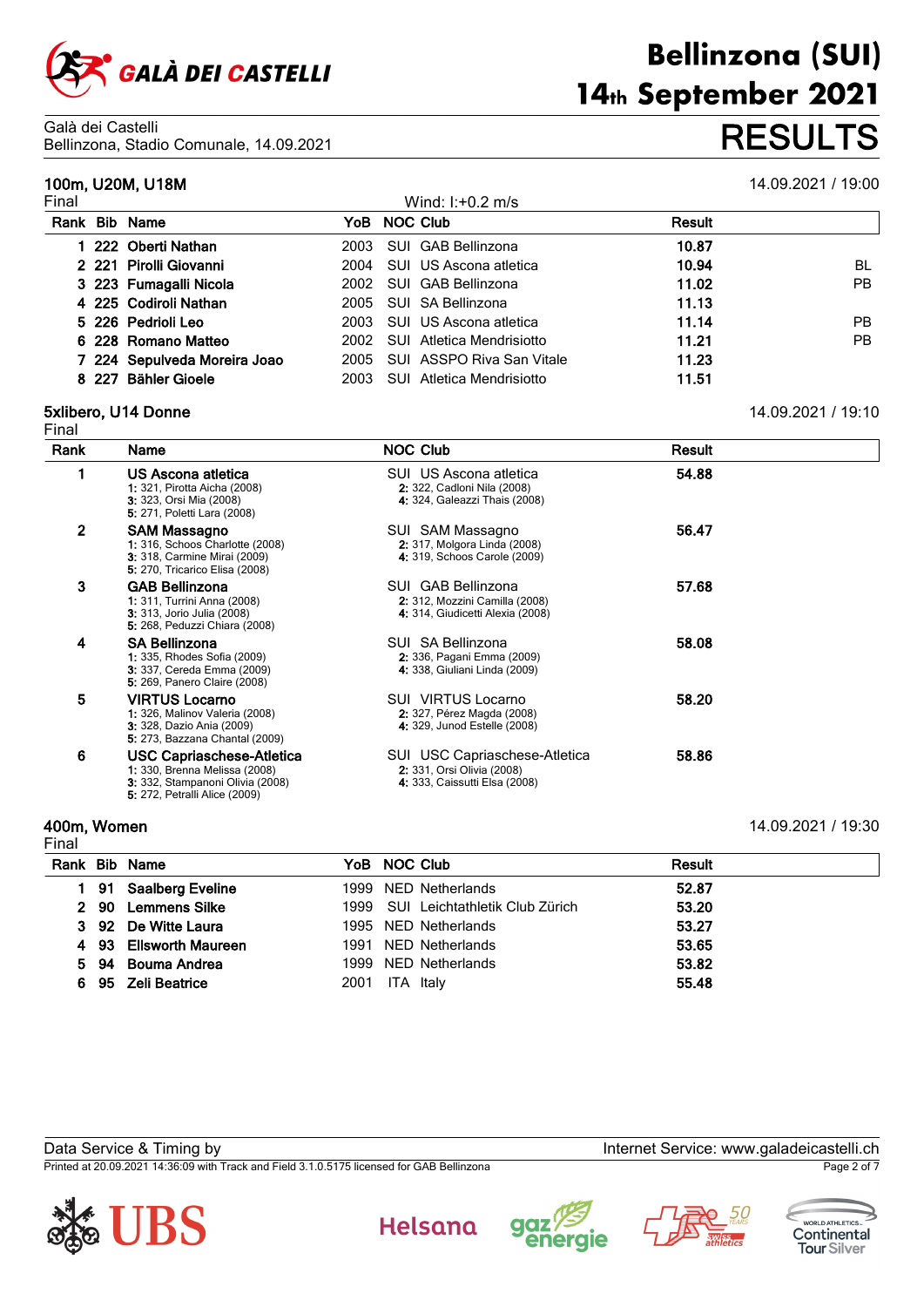

14th September 2021 Bellinzona, Stadio Comunale, 14.09.2021 **RESULTS**

**Bellinzona (SUI)** 

|       | 100m, U20M, U18M             |      |                           |               | 14.09.2021 / 19:00 |
|-------|------------------------------|------|---------------------------|---------------|--------------------|
| Final |                              |      | Wind: $1: +0.2$ m/s       |               |                    |
| Rank  | <b>Bib Name</b>              |      | YoB NOC Club              | <b>Result</b> |                    |
|       | 222 Oberti Nathan            | 2003 | SUI GAB Bellinzona        | 10.87         |                    |
|       | 2 221 Pirolli Giovanni       | 2004 | SUI US Ascona atletica    | 10.94         | BL                 |
|       | 3 223 Fumagalli Nicola       | 2002 | SUI GAB Bellinzona        | 11.02         | PB.                |
|       | 4 225 Codiroli Nathan        | 2005 | SUI SA Bellinzona         | 11.13         |                    |
|       | 5 226 Pedrioli Leo           | 2003 | SUI US Ascona atletica    | 11.14         | PB.                |
|       | 6 228 Romano Matteo          | 2002 | SUI Atletica Mendrisiotto | 11.21         | PB.                |
|       | 7 224 Sepulveda Moreira Joao | 2005 | SUI ASSPO Riva San Vitale | 11.23         |                    |
|       | 8 227 Bähler Gioele          | 2003 | SUI Atletica Mendrisiotto | 11.51         |                    |

# **5xlibero, U14 Donne** 14.09.2021 / 19:10

| Final          |                                                                                                                                               |                                                                                                    |        |  |
|----------------|-----------------------------------------------------------------------------------------------------------------------------------------------|----------------------------------------------------------------------------------------------------|--------|--|
| Rank           | <b>Name</b>                                                                                                                                   | <b>NOC Club</b>                                                                                    | Result |  |
|                | US Ascona atletica<br><b>1:</b> 321, Pirotta Aicha (2008)<br><b>3:</b> 323, Orsi Mia (2008)<br>5: 271, Poletti Lara (2008)                    | SUI US Ascona atletica<br>2 322, Cadloni Nila (2008)<br>4: 324, Galeazzi Thais (2008)              | 54.88  |  |
| $\overline{2}$ | SAM Massagno<br>1: 316, Schoos Charlotte (2008)<br>3: 318, Carmine Mirai (2009)<br>5: 270, Tricarico Elisa (2008)                             | SUI SAM Massagno<br>2: 317, Molgora Linda (2008)<br>4: 319, Schoos Carole (2009)                   | 56.47  |  |
| 3              | <b>GAB Bellinzona</b><br>1: 311, Turrini Anna (2008)<br><b>3:</b> 313, Jorio Julia (2008)<br>5: 268, Peduzzi Chiara (2008)                    | SUI GAB Bellinzona<br>2: 312, Mozzini Camilla (2008)<br>4: 314, Giudicetti Alexia (2008)           | 57.68  |  |
| 4              | <b>SA Bellinzona</b><br><b>1:</b> 335, Rhodes Sofia (2009)<br>3: 337, Cereda Emma (2009)<br><b>5:</b> 269, Panero Claire (2008)               | SUI SA Bellinzona<br>2: 336, Pagani Emma (2009)<br>4: 338, Giuliani Linda (2009)                   | 58.08  |  |
| 5              | <b>VIRTUS Locarno</b><br><b>1:</b> 326, Malinov Valeria (2008)<br>3: 328, Dazio Ania (2009)<br>5: 273, Bazzana Chantal (2009)                 | SUI VIRTUS Locarno<br>2. 327, Pérez Magda (2008)<br>4: 329, Junod Estelle (2008)                   | 58.20  |  |
| 6              | <b>USC Capriaschese-Atletica</b><br>1: 330, Brenna Melissa (2008)<br>3: 332, Stampanoni Olivia (2008)<br><b>5:</b> 272, Petralli Alice (2009) | <b>SUI</b> USC Capriaschese-Atletica<br>2: 331, Orsi Olivia (2008)<br>4 333, Caissutti Elsa (2008) | 58.86  |  |

### **400m, Women** 14.09.2021 / 19:30

| Final |      |                      |      |                                     |               |
|-------|------|----------------------|------|-------------------------------------|---------------|
|       |      | Rank Bib Name        |      | YoB NOC Club                        | <b>Result</b> |
|       |      | 91 Saalberg Eveline  |      | 1999 NED Netherlands                | 52.87         |
|       | 2 90 | <b>Lemmens Silke</b> |      | 1999 SUI Leichtathletik Club Zürich | 53.20         |
|       |      | 3 92 De Witte Laura  |      | 1995 NED Netherlands                | 53.27         |
| 4     |      | 93 Ellsworth Maureen |      | 1991 NED Netherlands                | 53.65         |
| 5.    | 94   | Bouma Andrea         |      | 1999 NED Netherlands                | 53.82         |
| 6.    | -95  | <b>Zeli Beatrice</b> | 2001 | ITA Italy                           | 55.48         |

Data Service & Timing by Internet Service: www.galadeicastelli.ch

Printed at 20.09.2021 14:36:09 with Track and Field 3.1.0.5175 licensed for GAB Bellinzona Page 2 of 7









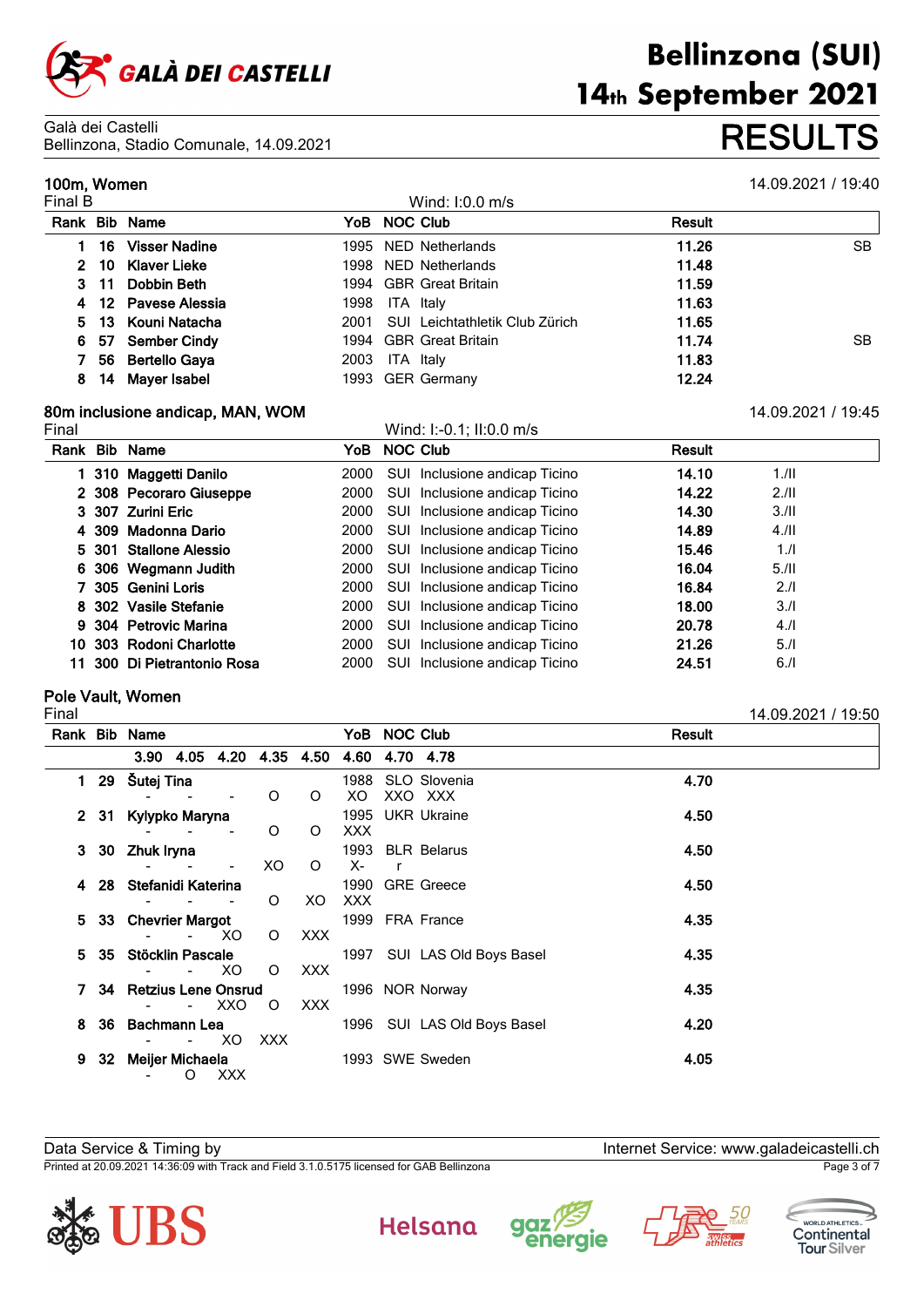

Galà dei Castelli Bellinzona, Stadio Comunale, 14.09.2021 **RESULTS**

### **100m, Women** 14.09.2021 / 19:40

**Bellinzona (SUI)** 

14th September 2021

|         | 1771111117111711 |                     |      |                                     |        |           |  |  |  |
|---------|------------------|---------------------|------|-------------------------------------|--------|-----------|--|--|--|
| Final B |                  |                     |      | Wind: $1:0.0$ m/s                   |        |           |  |  |  |
|         |                  | Rank Bib Name       |      | YoB NOC Club                        | Result |           |  |  |  |
|         | 16.              | Visser Nadine       |      | 1995 NED Netherlands                | 11.26  | <b>SB</b> |  |  |  |
|         |                  | 2 10 Klaver Lieke   |      | 1998 NED Netherlands                | 11.48  |           |  |  |  |
|         |                  | 3 11 Dobbin Beth    |      | 1994 GBR Great Britain              | 11.59  |           |  |  |  |
|         |                  | 4 12 Pavese Alessia | 1998 | ITA Italy                           | 11.63  |           |  |  |  |
|         |                  | 5 13 Kouni Natacha  |      | 2001 SUI Leichtathletik Club Zürich | 11.65  |           |  |  |  |
|         |                  | 6 57 Sember Cindy   |      | 1994 GBR Great Britain              | 11.74  | SB.       |  |  |  |
|         |                  | 56 Bertello Gaya    | 2003 | ITA Italy                           | 11.83  |           |  |  |  |
| 8       |                  | 14 Mayer Isabel     |      | 1993 GER Germany                    | 12.24  |           |  |  |  |

# **80m inclusione andicap, MAN, WOM** 14.09.2021 / 19:45

Final Wind: I:-0.1; II:0.0 m/s **Rank Bib Name YoB NOC Club Result 310 Maggetti Danilo** 2000 SUI Inclusione andicap Ticino **14.10** 1./II **308 Pecoraro Giuseppe** 2000 SUI Inclusione andicap Ticino **14.22** 2./II **307 Zurini Eric** 2000 SUI Inclusione andicap Ticino **14.30** 3./II **309 Madonna Dario** 2000 SUI Inclusione andicap Ticino **14.89** 4./II **301 Stallone Alessio** 2000 SUI Inclusione andicap Ticino **15.46** 1./I **306 Wegmann Judith** 2000 SUI Inclusione andicap Ticino **16.04** 5./II **305 Genini Loris** 2000 SUI Inclusione andicap Ticino **16.84** 2./I **302 Vasile Stefanie** 2000 SUI Inclusione andicap Ticino **18.00** 3./I **304 Petrovic Marina** 2000 SUI Inclusione andicap Ticino **20.78** 4./I

**11 300 Di Pietrantonio Rosa** 2000 SUI Inclusione andicap Ticino **24.51** 6./I

#### **Pole Vault, Women**

**Rank Bib Name YoB NOC Club Result 3.90 4.05 4.20 4.35 4.50 4.60 4.70 4.78 1 29 Šutej Tina** 1988 SLO Slovenia **4.70** 0 O XO XXO XXX **2 31 Kylypko Maryna** 1995 UKR Ukraine **4.50** 0 O XXX **3 30 Zhuk Iryna** 1993 BLR Belarus **4.50** - - - XO O X- r **4 28 Stefanidi Katerina** 1990 GRE Greece **4.50** XO XXX **5 33 Chevrier Margot** 1999 FRA France **4.35** XO O XXX **5 35 Stöcklin Pascale** 1997 SUI LAS Old Boys Basel **4.35** XO O XXX **7 34 Retzius Lene Onsrud** 1996 NOR Norway **4.35** XXO O XXX **8 36 Bachmann Lea** 1996 SUI LAS Old Boys Basel **4.20** XO XXX **9 32 Meijer Michaela** 1993 SWE Sweden **4.05** O XXX

**10 303 Rodoni Charlotte** 2000 SUI Inclusione andicap Ticino **21.26** 5./I

Data Service & Timing by Internet Service: www.galadeicastelli.ch

Printed at 20.09.2021 14:36:09 with Track and Field 3.1.0.5175 licensed for GAB Bellinzona Page 3 of 7











Final 14.09.2021 / 19:50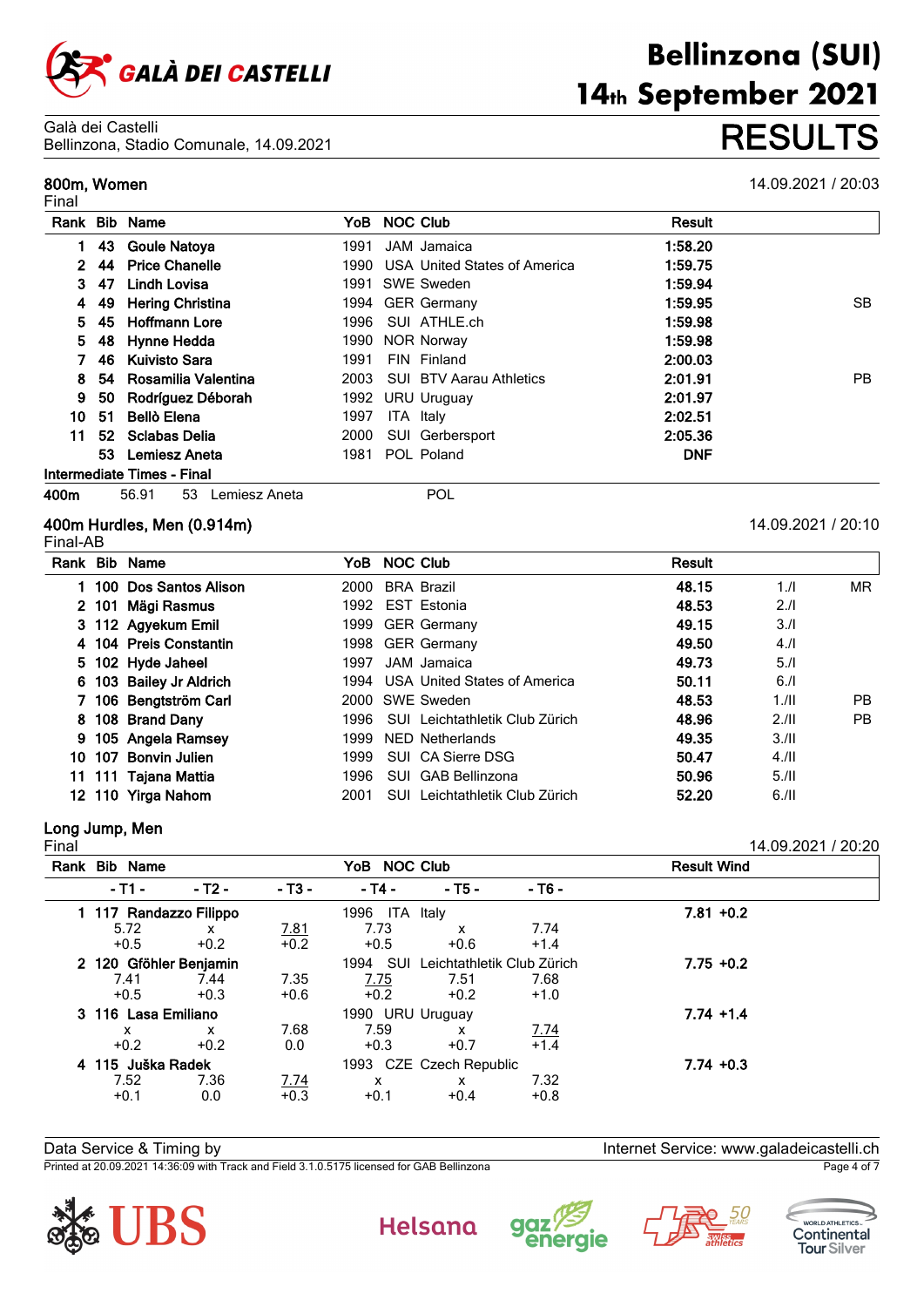

Galà dei Castelli Bellinzona, Stadio Comunale, 14.09.2021 **RESULTS**

#### **800m, Women**

**Rank Bib Name 1** 43 **Goule N** 

Final

|          | <u>EUTIU, Oluulu OUTTuriulu, 17.09.2021</u> |      |                                   |         |                    |  |
|----------|---------------------------------------------|------|-----------------------------------|---------|--------------------|--|
| n, Women |                                             |      |                                   |         | 14.09.2021 / 20:03 |  |
|          | k Bib Name                                  |      | YoB NOC Club                      | Result  |                    |  |
|          | 1 43 Goule Natoya                           | 1991 | JAM Jamaica                       | 1:58.20 |                    |  |
|          | 2 44 Price Chanelle                         |      | 1990 USA United States of America | 1:59.75 |                    |  |
| 347      | Lindh Lovisa                                |      | 1991 SWE Sweden                   | 1:59.94 |                    |  |
|          | 4 49 Hering Christina                       |      | 1994 GER Germany                  | 1:59.95 | SB.                |  |
|          | 5 45 Hoffmann Lore                          |      | 1996 SUI ATHLE.ch                 | 1:59.98 |                    |  |
|          | 5 48 Hynne Hedda                            |      | 1990 NOR Norwav                   | 1:59.98 |                    |  |

|  | 5 48 Hynne Hedda         | <b>1990 NOR NORWAY</b>       | 1.59.98    |    |
|--|--------------------------|------------------------------|------------|----|
|  | 7 46 Kuivisto Sara       | 1991 FIN Finland             | 2:00.03    |    |
|  | 8 54 Rosamilia Valentina | 2003 SUI BTV Aarau Athletics | 2:01.91    | PB |
|  | 9 50 Rodríguez Déborah   | 1992 URU Uruguay             | 2:01.97    |    |
|  | 10 51 Bellò Elena        | 1997 ITA Italy               | 2:02.51    |    |
|  | 11 52 Sclabas Delia      | 2000 SUI Gerbersport         | 2:05.36    |    |
|  | 53 Lemiesz Aneta         | 1981 POL Poland              | <b>DNF</b> |    |

#### **Intermediate Times - Final**

**400m** 56.91 53 Lemiesz Aneta POL

#### **400m Hurdles, Men (0.914m)** 14.09.2021 / 20:10 Final-AB

|  |                                                                                                                                                                                                                                                                                                         |                                | Result                                                                                                                                                                                                                                                                                 |      |           |
|--|---------------------------------------------------------------------------------------------------------------------------------------------------------------------------------------------------------------------------------------------------------------------------------------------------------|--------------------------------|----------------------------------------------------------------------------------------------------------------------------------------------------------------------------------------------------------------------------------------------------------------------------------------|------|-----------|
|  |                                                                                                                                                                                                                                                                                                         |                                | 48.15                                                                                                                                                                                                                                                                                  | 1.1  | <b>MR</b> |
|  |                                                                                                                                                                                                                                                                                                         |                                | 48.53                                                                                                                                                                                                                                                                                  | 2.1  |           |
|  |                                                                                                                                                                                                                                                                                                         |                                | 49.15                                                                                                                                                                                                                                                                                  | 3.1  |           |
|  |                                                                                                                                                                                                                                                                                                         |                                | 49.50                                                                                                                                                                                                                                                                                  | 4.1  |           |
|  |                                                                                                                                                                                                                                                                                                         |                                | 49.73                                                                                                                                                                                                                                                                                  | 5.1  |           |
|  |                                                                                                                                                                                                                                                                                                         |                                | 50.11                                                                                                                                                                                                                                                                                  | 6.1  |           |
|  |                                                                                                                                                                                                                                                                                                         |                                | 48.53                                                                                                                                                                                                                                                                                  | 1.11 | PB        |
|  |                                                                                                                                                                                                                                                                                                         |                                | 48.96                                                                                                                                                                                                                                                                                  | 2.11 | <b>PB</b> |
|  |                                                                                                                                                                                                                                                                                                         |                                | 49.35                                                                                                                                                                                                                                                                                  | 3.11 |           |
|  |                                                                                                                                                                                                                                                                                                         |                                | 50.47                                                                                                                                                                                                                                                                                  | 4.11 |           |
|  | 1996                                                                                                                                                                                                                                                                                                    |                                | 50.96                                                                                                                                                                                                                                                                                  | 5.11 |           |
|  | 2001                                                                                                                                                                                                                                                                                                    | SUI Leichtathletik Club Zürich | 52.20                                                                                                                                                                                                                                                                                  | 6.11 |           |
|  | Rank Bib Name<br>1 100 Dos Santos Alison<br>2 101 Mägi Rasmus<br>3 112 Agyekum Emil<br>4 104 Preis Constantin<br>5 102 Hyde Jaheel<br>6 103 Bailey Jr Aldrich<br>7 106 Bengtström Carl<br>8 108 Brand Dany<br>9 105 Angela Ramsey<br>10 107 Bonvin Julien<br>11 111 Tajana Mattia<br>12 110 Yirga Nahom |                                | YoB NOC Club<br>2000 BRA Brazil<br>1992 EST Estonia<br>1999 GER Germany<br>1998 GER Germany<br>1997 JAM Jamaica<br>1994 USA United States of America<br>2000 SWE Sweden<br>1996 SUI Leichtathletik Club Zürich<br>1999 NED Netherlands<br>1999 SUI CA Sierre DSG<br>SUI GAB Bellinzona |      |           |

## **Long Jump, Men**

| Final                  |                        |            |                        |                         |                            |                     | 14.09.2021 / 20:20 |  |
|------------------------|------------------------|------------|------------------------|-------------------------|----------------------------|---------------------|--------------------|--|
|                        | Rank Bib Name          |            |                        | YoB NOC Club            |                            |                     | <b>Result Wind</b> |  |
|                        | - T1 -                 | $-$ T2 $-$ | $-$ T <sub>3</sub> $-$ | $-14-$                  | $-75-$                     | $-76-$              |                    |  |
|                        | 1 117 Randazzo Filippo |            |                        | 1996<br>ITA Italy       |                            |                     | $7.81 + 0.2$       |  |
|                        | 5.72                   | X          |                        | 7.73                    | x                          | 7.74                |                    |  |
|                        | $+0.5$                 | $+0.2$     | $\frac{7.81}{+0.2}$    | $+0.5$                  | $+0.6$                     | $+1.4$              |                    |  |
| 2 120 Gföhler Benjamin |                        |            |                        | SUI<br>1994             | Leichtathletik Club Zürich | $7.75 +0.2$         |                    |  |
|                        | 7.41                   | 7.44       | 7.35                   | 7.75                    | 7.51                       | 7.68                |                    |  |
|                        | $+0.5$                 | $+0.3$     | $+0.6$                 | $+0.2$                  | $+0.2$                     | $+1.0$              |                    |  |
|                        | 3 116 Lasa Emiliano    |            |                        | 1990 URU Uruguay        |                            |                     | $7.74 + 1.4$       |  |
|                        | x                      | X          | 7.68                   | 7.59                    | x                          |                     |                    |  |
|                        | $+0.2$                 | $+0.2$     | 0.0                    | $+0.3$                  | $+0.7$                     | $\frac{7.74}{+1.4}$ |                    |  |
|                        | 4 115 Juška Radek      |            |                        | 1993 CZE Czech Republic |                            |                     | $7.74 + 0.3$       |  |
|                        | 7.52                   | 7.36       |                        | X                       | x                          | 7.32                |                    |  |
|                        | $+0.1$                 | 0.0        | $\frac{7.74}{+0.3}$    | $+0.1$                  | $+0.4$                     | $+0.8$              |                    |  |
|                        |                        |            |                        |                         |                            |                     |                    |  |

Data Service & Timing by Internet Service: www.galadeicastelli.ch

Printed at 20.09.2021 14:36:09 with Track and Field 3.1.0.5175 licensed for GAB Bellinzona Page 4 of 7











**Bellinzona (SUI)** 14th September 2021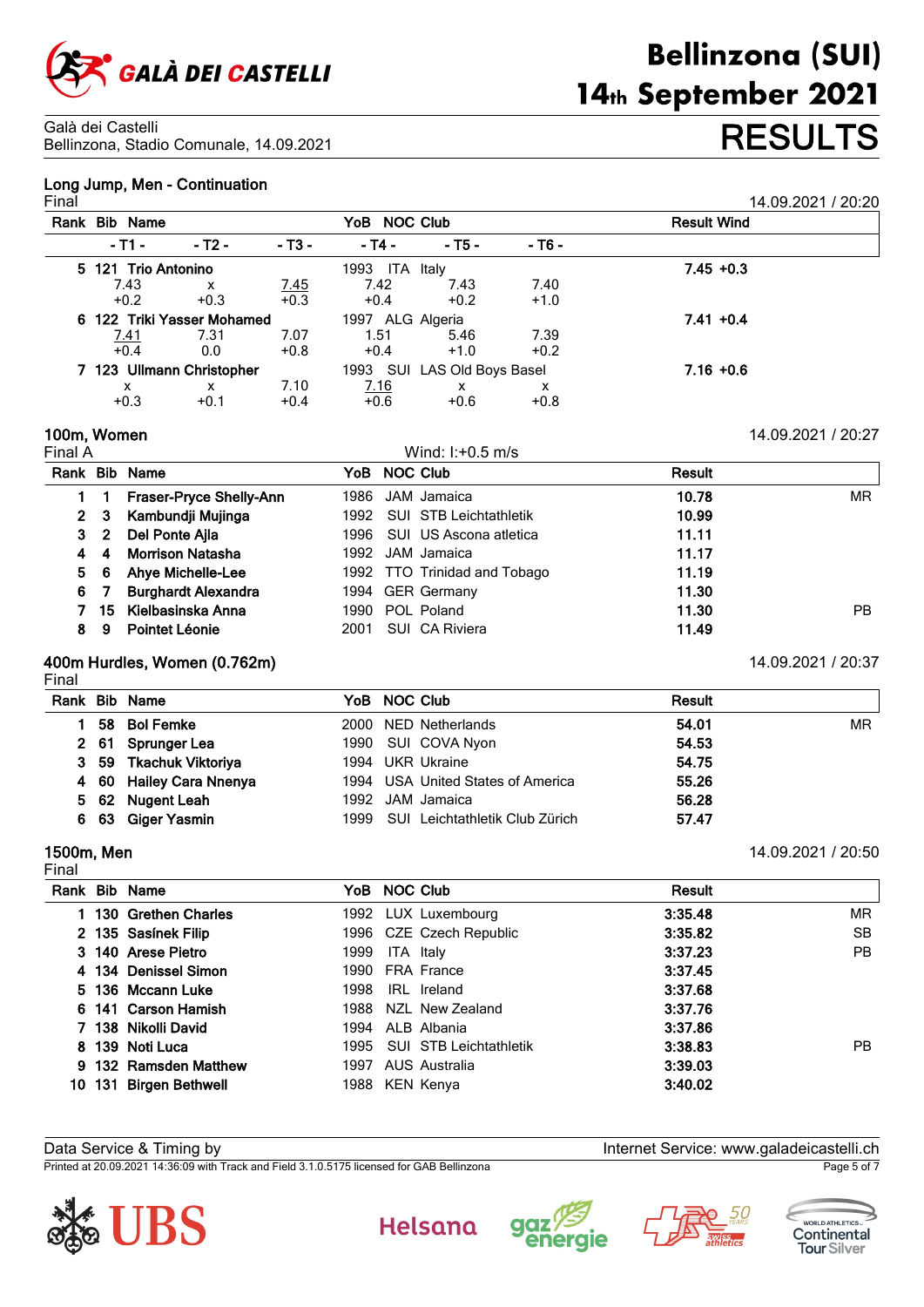

# **Long Jump, Men - Continuation**

| Final                     |                            |                           |                     |                             |                    |        | 14.09.2021 / 20:20 |  |  |
|---------------------------|----------------------------|---------------------------|---------------------|-----------------------------|--------------------|--------|--------------------|--|--|
|                           | Rank Bib Name              |                           |                     | YoB NOC Club                | <b>Result Wind</b> |        |                    |  |  |
|                           | - T1 -                     | - T2 -                    | $-$ T3 $-$          | - T4 -                      | - T5 -             | - T6 - |                    |  |  |
| 5 121 Trio Antonino       |                            |                           |                     | 1993 ITA Italy              |                    |        | $7.45 + 0.3$       |  |  |
|                           | 7.43                       | $\boldsymbol{\mathsf{x}}$ | $\frac{7.45}{+0.3}$ | 7.42                        | 7.43               | 7.40   |                    |  |  |
|                           | $+0.2$                     | $+0.3$                    |                     | $+0.4$                      | $+0.2$             | $+1.0$ |                    |  |  |
|                           | 6 122 Triki Yasser Mohamed |                           |                     | 1997 ALG Algeria            |                    |        | $7.41 + 0.4$       |  |  |
|                           | <u>7.41</u>                | 7.31                      | 7.07                | 1.51                        | 5.46               | 7.39   |                    |  |  |
|                           | $\overline{+0.4}$          | 0.0                       | $+0.8$              | $+0.4$                      | $+1.0$             | $+0.2$ |                    |  |  |
| 7 123 Ullmann Christopher |                            |                           |                     | 1993 SUI LAS Old Boys Basel |                    |        | $7.16 + 0.6$       |  |  |
|                           | х                          | x                         | 7.10                | 7.16                        | x                  | x      |                    |  |  |
|                           | $+0.3$                     | $+0.1$                    | $+0.4$              | $+0.6$                      | $+0.6$             | $+0.8$ |                    |  |  |

**100m, Women** 14.09.2021 / 20:27

|    |            | Rank Bib Name              |      | YoB NOC Club                 | <b>Result</b> |                |
|----|------------|----------------------------|------|------------------------------|---------------|----------------|
|    |            | Fraser-Pryce Shelly-Ann    |      | 1986 JAM Jamaica             | 10.78         | MR             |
|    |            | 2 3 Kambundji Mujinga      |      | 1992 SUI STB Leichtathletik  | 10.99         |                |
|    | $3\quad 2$ | Del Ponte Ajla             |      | 1996 SUI US Ascona atletica  | 11.11         |                |
|    | 4          | <b>Morrison Natasha</b>    |      | 1992 JAM Jamaica             | 11.17         |                |
| 5. | - 6        | Ahye Michelle-Lee          |      | 1992 TTO Trinidad and Tobago | 11.19         |                |
|    | 67         | <b>Burghardt Alexandra</b> |      | 1994 GER Germany             | 11.30         |                |
|    |            | 15 Kielbasinska Anna       |      | 1990 POL Poland              | 11.30         | P <sub>B</sub> |
| 8  | 9          | Pointet Léonie             | 2001 | SUI CA Riviera               | 11.49         |                |

Wind:  $I: +0.5$  m/s

# **400m Hurdles, Women (0.762m)** 14.09.2021 / 20:37

|--|

|    | Rank Bib Name           | YoB NOC Club                        | <b>Result</b> |
|----|-------------------------|-------------------------------------|---------------|
|    | 58 Bol Femke            | 2000 NED Netherlands                | MR<br>54.01   |
|    | 2 61 Sprunger Lea       | 1990 SUI COVA Nyon                  | 54.53         |
|    | 3 59 Tkachuk Viktoriya  | 1994 UKR Ukraine                    | 54.75         |
|    | 4 60 Hailey Cara Nnenya | 1994 USA United States of America   | 55.26         |
|    | 5 62 Nugent Leah        | 1992 JAM Jamaica                    | 56.28         |
| 6. | 63 Giger Yasmin         | 1999 SUI Leichtathletik Club Zürich | 57.47         |
|    |                         |                                     |               |

# Final

**1500m, Men** 14.09.2021 / 20:50

|     | Rank Bib Name         |      | YoB NOC Club                | Result  |           |
|-----|-----------------------|------|-----------------------------|---------|-----------|
|     | 1 130 Grethen Charles |      | 1992 LUX Luxembourg         | 3:35.48 | MR        |
|     | 2 135 Sasinek Filip   |      | 1996 CZE Czech Republic     | 3:35.82 | <b>SB</b> |
|     | 3 140 Arese Pietro    | 1999 | ITA Italy                   | 3:37.23 | <b>PB</b> |
|     | 4 134 Denissel Simon  |      | 1990 FRA France             | 3:37.45 |           |
|     | 5 136 Mccann Luke     | 1998 | IRL Ireland                 | 3:37.68 |           |
|     | 6 141 Carson Hamish   | 1988 | NZL New Zealand             | 3:37.76 |           |
|     | 7 138 Nikolli David   |      | 1994 ALB Albania            | 3:37.86 |           |
|     | 8 139 Noti Luca       |      | 1995 SUI STB Leichtathletik | 3:38.83 | PB.       |
|     | 9 132 Ramsden Matthew | 1997 | AUS Australia               | 3:39.03 |           |
| 10. | 131 Birgen Bethwell   |      | 1988 KEN Kenya              | 3:40.02 |           |

Data Service & Timing by Internet Service: www.galadeicastelli.ch

Printed at 20.09.2021 14:36:09 with Track and Field 3.1.0.5175 licensed for GAB Bellinzona Page 5 of 7









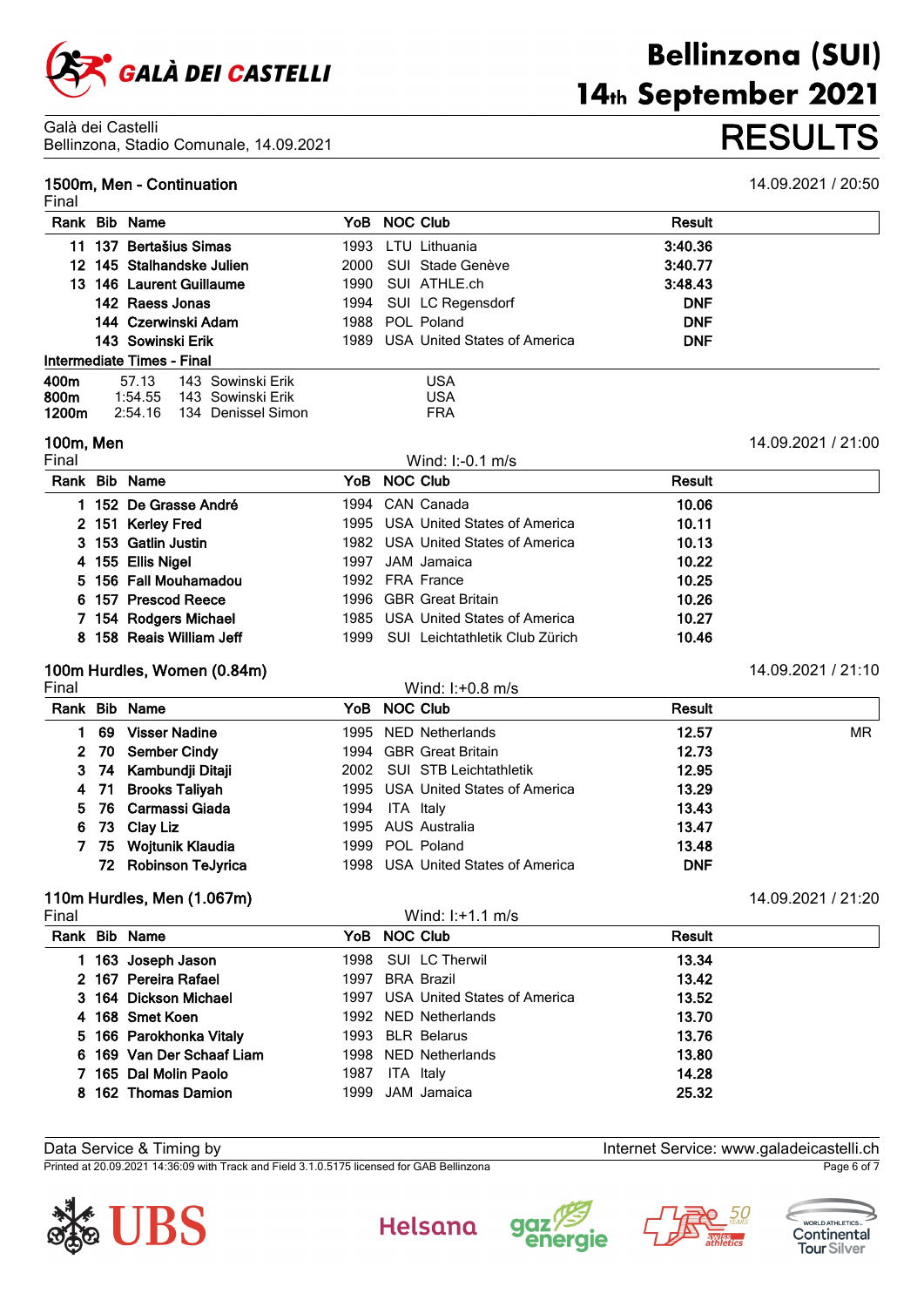

## **1500m, Men - Continuation** 14.09.2021 / 20:50

| Final |                            |                    |      |                                   |               |  |
|-------|----------------------------|--------------------|------|-----------------------------------|---------------|--|
| Rank  | <b>Bib Name</b>            |                    |      | YoB NOC Club                      | <b>Result</b> |  |
| 11.   | 137 Bertašius Simas        |                    | 1993 | LTU Lithuania                     | 3:40.36       |  |
|       | 12 145 Stalhandske Julien  |                    | 2000 | SUI Stade Genève                  | 3:40.77       |  |
|       | 13 146 Laurent Guillaume   |                    | 1990 | SUI ATHLE.ch                      | 3:48.43       |  |
|       | 142 Raess Jonas            |                    | 1994 | SUI LC Regensdorf                 | <b>DNF</b>    |  |
|       | 144 Czerwinski Adam        |                    |      | 1988 POL Poland                   | <b>DNF</b>    |  |
|       | 143 Sowinski Erik          |                    |      | 1989 USA United States of America | <b>DNF</b>    |  |
|       | Intermediate Times - Final |                    |      |                                   |               |  |
| 400m  | 57.13                      | 143 Sowinski Erik  |      | <b>USA</b>                        |               |  |
| 800m  | 1:54.55                    | 143 Sowinski Erik  |      | <b>USA</b>                        |               |  |
| 1200m | 2:54.16                    | 134 Denissel Simon |      | <b>FRA</b>                        |               |  |

# **100m, Men** 14.09.2021 / 21:00

| Final |                          |      | Wind: $1: -0.1$ m/s               |        |  |
|-------|--------------------------|------|-----------------------------------|--------|--|
|       | Rank Bib Name            |      | YoB NOC Club                      | Result |  |
|       | 1 152 De Grasse André    |      | 1994 CAN Canada                   | 10.06  |  |
|       | 2 151 Kerley Fred        |      | 1995 USA United States of America | 10.11  |  |
|       | 3 153 Gatlin Justin      |      | 1982 USA United States of America | 10.13  |  |
|       | 4 155 Ellis Nigel        |      | 1997 JAM Jamaica                  | 10.22  |  |
|       | 5 156 Fall Mouhamadou    |      | 1992 FRA France                   | 10.25  |  |
|       | 6 157 Prescod Reece      |      | 1996 GBR Great Britain            | 10.26  |  |
|       | 7 154 Rodgers Michael    |      | 1985 USA United States of America | 10.27  |  |
|       | 8 158 Reais William Jeff | 1999 | SUI Leichtathletik Club Zürich    | 10.46  |  |

# **100m Hurdles, Women (0.84m)** 14.09.2021 / 21:10

|    |                      |                                                                                                                                                                           | Wind: $I: +0.8$ m/s |                                                                                                                                                                                                                                    |           |
|----|----------------------|---------------------------------------------------------------------------------------------------------------------------------------------------------------------------|---------------------|------------------------------------------------------------------------------------------------------------------------------------------------------------------------------------------------------------------------------------|-----------|
|    |                      |                                                                                                                                                                           |                     | <b>Result</b>                                                                                                                                                                                                                      |           |
| 69 | <b>Visser Nadine</b> |                                                                                                                                                                           |                     | 12.57                                                                                                                                                                                                                              | <b>MR</b> |
|    |                      |                                                                                                                                                                           |                     | 12.73                                                                                                                                                                                                                              |           |
|    |                      |                                                                                                                                                                           |                     | 12.95                                                                                                                                                                                                                              |           |
|    |                      |                                                                                                                                                                           |                     | 13.29                                                                                                                                                                                                                              |           |
|    |                      |                                                                                                                                                                           |                     | 13.43                                                                                                                                                                                                                              |           |
|    |                      |                                                                                                                                                                           |                     | 13.47                                                                                                                                                                                                                              |           |
|    |                      |                                                                                                                                                                           |                     | 13.48                                                                                                                                                                                                                              |           |
|    |                      |                                                                                                                                                                           |                     | <b>DNF</b>                                                                                                                                                                                                                         |           |
|    |                      | Rank Bib Name<br>2 70 Sember Cindy<br>3 74 Kambundji Ditaji<br>4 71 Brooks Taliyah<br>5 76 Carmassi Giada<br>6 73 Clay Liz<br>75 Wojtunik Klaudia<br>72 Robinson TeJyrica |                     | YoB NOC Club<br>1995 NED Netherlands<br>1994 GBR Great Britain<br>2002 SUI STB Leichtathletik<br>1995 USA United States of America<br>1994 ITA Italy<br>1995 AUS Australia<br>1999 POL Poland<br>1998 USA United States of America |           |

# **110m Hurdles, Men (1.067m)** 14.09.2021 / 21:20

| Final |                           |      | Wind: $1: +1.1$ m/s               |        |
|-------|---------------------------|------|-----------------------------------|--------|
|       | Rank Bib Name             |      | YoB NOC Club                      | Result |
|       | 163 Joseph Jason          |      | 1998 SUI LC Therwil               | 13.34  |
|       | 2 167 Pereira Rafael      |      | 1997 BRA Brazil                   | 13.42  |
|       | 3 164 Dickson Michael     |      | 1997 USA United States of America | 13.52  |
|       | 4 168 Smet Koen           |      | 1992 NED Netherlands              | 13.70  |
|       | 5 166 Parokhonka Vitaly   |      | 1993 BLR Belarus                  | 13.76  |
|       | 6 169 Van Der Schaaf Liam |      | 1998 NED Netherlands              | 13.80  |
|       | 7 165 Dal Molin Paolo     | 1987 | ITA Italy                         | 14.28  |
|       | 8 162 Thomas Damion       |      | 1999 JAM Jamaica                  | 25.32  |

Data Service & Timing by Internet Service: www.galadeicastelli.ch

Printed at 20.09.2021 14:36:09 with Track and Field 3.1.0.5175 licensed for GAB Bellinzona Page 6 of 7











# **Bellinzona (SUI)** 14th September 2021 Bellinzona, Stadio Comunale, 14.09.2021 **RESULTS**